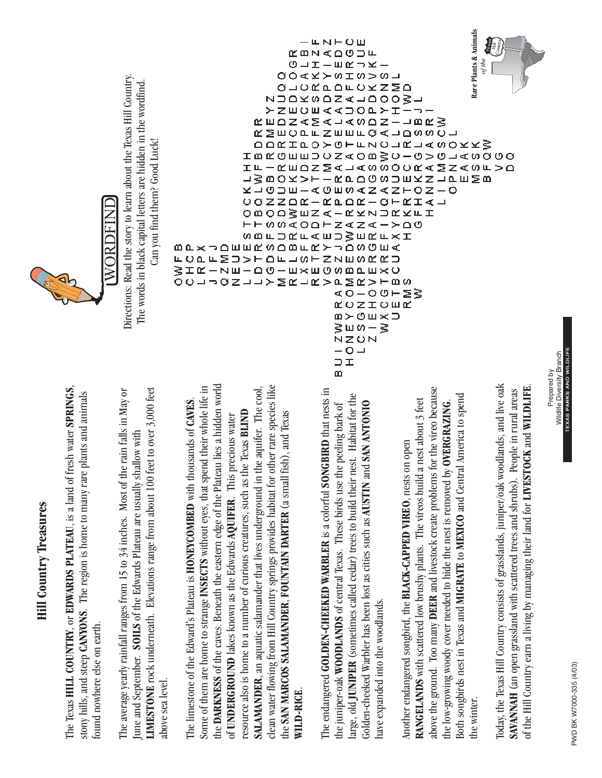| The Texas HILL COUNTRY, or EDWARDS PLATEAU, is a land of fresh water SPRINGS,<br>plants and animals<br>stony hills, and steep CANYONS. The region is home to many rare<br>found nowhere else on earth.                                                                                                                                                                                                                                                                                                                                                                                                                                                                                               |                                                                                                                                                                                                                                                                                                                                                                                                                                                                                                                                   |
|------------------------------------------------------------------------------------------------------------------------------------------------------------------------------------------------------------------------------------------------------------------------------------------------------------------------------------------------------------------------------------------------------------------------------------------------------------------------------------------------------------------------------------------------------------------------------------------------------------------------------------------------------------------------------------------------------|-----------------------------------------------------------------------------------------------------------------------------------------------------------------------------------------------------------------------------------------------------------------------------------------------------------------------------------------------------------------------------------------------------------------------------------------------------------------------------------------------------------------------------------|
| LIMESTONE rock underneath. Elevations range from about 100 feet to over 3,000 feet<br>The average yearly rainfall ranges from 15 to 34 inches. Most of the rain falls in May or<br>June and September. SOILS of the Edwards Plateau are usually shallow with<br>above sea level                                                                                                                                                                                                                                                                                                                                                                                                                      | Directions: Read the story to learn about the Texas Hill Country,<br>The words in black capital letters are hidden in the wordfind.<br>Can you find them? Good Luck!<br>WORDFIND                                                                                                                                                                                                                                                                                                                                                  |
| the DARKNESS of the caves. Beneath the eastern edge of the Plateau lies a hidden world<br>Some of them are home to strange INSECTS without eyes, that spend their whole life in<br>clean water flowing from Hill Country springs provides habitat for other rare species like<br>SALAMANDER, an aquatic salamander that lives underground in the aquifer. The cool<br>The limestone of the Edward's Plateau is HONEYCOMBED with thousands of CAVES<br>resource also is home to a number of curious creatures, such as the Texas BLIND<br>the SAN MARCOS SALAMANDER, FOUNTAIN DARTER (a small fish), and Texas<br>of UNDERGROUND lakes known as the Edwards AQUIFER. This precious water<br>WILD-RICE | $\mathbf{K} \geq$<br><b>IMKOMMDO</b><br>エルーだいロスをく<br>≼∟<br>∠ — ⊙<br>ပေဇ<br><b>BAXJQWWKWQBLK≻JQWQWK</b><br>LOLL20>-QLJ0-ZNW0KK0<br><b>WIR-NE-QΘ-EXEGSBFEXΩ</b><br>○○→→○Z→→≻∑K→K>Q∑K>⊢@%                                                                                                                                                                                                                                                                                                                                            |
| The endangered GOLDEN-CHEEKED WARBLER is a colorful SONGBIRD that nests in<br>large, old JUNIPER (sometimes called cedar) trees to build their nest. Habitat for the<br>Golden-cheeked Warbler has been lost as cities such as AUSTIN and SAN ANTONIO<br>the juniper-oak WOODLANDS of central Texas. These birds use the peeling bark of<br>have expanded into the woodlands.                                                                                                                                                                                                                                                                                                                        | ーFZTCE<br>RBZADGUF<br><b>DUI-WK7X-</b><br>OO <x>0I0&gt;01<br/>QUOKAQLOYZ<b>S</b>Q<br/>NDQXWQZKJQOOS-<br/>≻∠шош≪≪⊃од≻<br/>KWOZKSKJKWOZ-JOK<br/>WORLZWWL0KJOWWOJ<br/><math>\langle</math> O <math>\cong</math> O<br/>z<br/><math display="inline">\overline{\phantom{a}}</math><br/>コローベの山のベスベストの<br/><math>ZZOK-KAOK-OHKI</math><br/>OmOO}wZ«-KxwJKxrI<br/>⋖○−○७⊢⋝⋚<br/><b>KOZIOWK</b><br/><math>m &gt; 0</math> <math>m \times 1</math><br/>-01<br/>-01<br/>-01<br/>-01<br/>≩<br/><math>\ni</math> in<br/><math>\omega</math></x> |
| above the ground. Too many DEER and livestock create problems for the vireo because<br>Both songbirds nest in Texas and MIGRATE to MEXICO and Central America to spend<br>RANGELANDS with scattered low brushy plants. The vireos build a nest about 3 feet<br>the low-growing woody cover needed to hide the nest is removed by OVERGRAZING.<br>Another endangered songbird, the BLACK-CAPPED VIREO, nests on open<br>the winter.                                                                                                                                                                                                                                                                   | Rare Plants & Animals<br>of the<br>I<br>DORITO> OHENOURUKOOXX}<br>$-40000$<br>$-\circ$<br>ပ<br>« < ∞ ∞ O O L < 2 Z < ∞ L<br><b>MOX&gt;H-KAQOWJWXZJAW∑M</b><br>$Z - Q$<br>$\prec$ $\lnot$                                                                                                                                                                                                                                                                                                                                          |
| Today, the Texas Hill Country consists of grasslands, juniper/oak woodlands, and live oak<br>of the Hill Country earn a living by managing their land for LIVESTOCK and WILDLIFE<br>SAVANMAH (an open grassland with scattered trees and shrubs). People in rural areas                                                                                                                                                                                                                                                                                                                                                                                                                              | $>\Omega$                                                                                                                                                                                                                                                                                                                                                                                                                                                                                                                         |

**Hill Country Treasures**

**Hill Country Treasures** 

PWD BK W7000-335 (4/03) PWD BK W7000-335 (4/03)

Prepared by<br>Wildlife Diversity Branch<br>TEXAS PARKS AND WILDLIFE Wildlife Diversity Branch Prepared by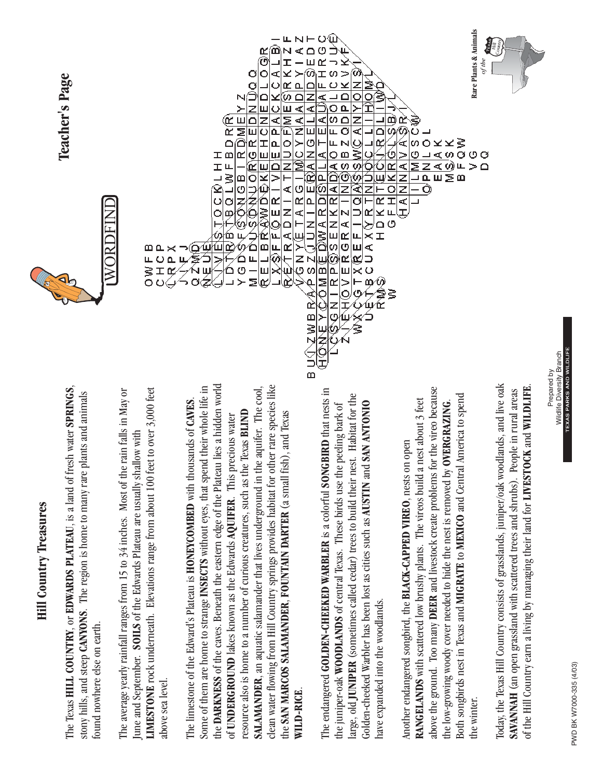

The Texas HILL COUNTRY, or EDWARDS PLATEAU, is a land of fresh water SPRINGS, The Texas HILL COUNTRY, or EDWARDS PLATEAU, is a land of fresh water SPRINGS, **HILL COUNTRY EDWARDS PLATEAU SPRINGS** stony hills, and steep CANYONS. The region is home to many rare plants and animals stony hills, and steep CANYONS. The region is home to many rare plants and animals **CANYONS** found nowhere else on earth. found nowhere else on earth.

LIMESTONE rock underneath. Elevations range from about 100 feet to over 3,000 feet rock underneath. Elevations range from about 100 feet to over 3,000 feet The average yearly rainfall ranges from 15 to 34 inches. Most of the rain falls in May or The average yearly rainfall ranges from 15 to 34 inches. Most of the rain falls in May or June and September. **SOILS** of the Edwards Plateau are usually shallow with June and September. SOILS of the Edwards Plateau are usually shallow with above sea level. above sea level **LIMESTONE**

the DARKNESS of the caves. Beneath the eastern edge of the Plateau lies a hidden world the DARKNESS of the caves. Beneath the eastern edge of the Plateau lies a hidden world clean water flowing from Hill Country springs provides habitat for other rare species like Some of them are home to strange INSECTS without eyes, that spend their whole life in Some of them are home to strange INSECTS without eyes, that spend their whole life in SALAMANDER, an aquatic salamander that lives underground in the aquifer. The cool, clean water flowing from Hill Country springs provides habitat for other rare species like , an aquatic salamander that lives underground in the aquifer. The cool, The limestone of the Edward's Plateau is **HONEYCOMBED** with thousands of **CAVES**. The limestone of the Edward's Plateau is **HONEYCOMBED** with thousands of CAVES **HONEYCOMBED CAVES** resource also is home to a number of curious creatures, such as the Texas **BLIND** the SAN MARCOS SALAMANDER, FOUNTAIN DARTER (a small fish), and Texas of UNDERGROUND lakes known as the Edwards AQUIFER. This precious water the SAN MARCOS SALAMANDER, FOUNTAIN DARTER (a small fish), and Texas of UNDERGROUND lakes known as the Edwards AQUIFER. This precious water resource also is home to a number of curious creatures, such as the Texas **UNDERGROUND** lakes known as the Edwards **AQUIFER SAN MARCOS SALAMANDER FOUNTAIN DARTER DARKNESS SALAMANDER** WILD-RICE **WILD-RICE**

The endangered GOLDEN-CHEEKED WARBLER is a colorful SONGBIRD that nests in The endangered GOLDEN-CHEEKED WARBLER is a colorful SONGBIRD that nests in large, old JUNIPER (sometimes called cedar) trees to build their nest. Habitat for the large, old JUNIPER (sometimes called cedar) trees to build their nest. Habitat for the the juniper-oak WOODLANDS of central Texas. These birds use the peeling bark of Golden-cheeked Warbler has been lost as cities such as AUSTIN and SAN ANTONIO **AUSTIN SAN ANTONIO** the juniper-oak **WOODLANDS** of central Texas. These birds use the peeling bark of **GOLDEN-CHEEKED WARBLER SONGBIRD** Golden-cheeked Warbler has been lost as cities such as and have expanded into the woodlands. have expanded into the woodlands. **WOODLANDS**

above the ground. Too many DEER and livestock create problems for the vireo because above the ground. Too many DEER and livestock create problems for the vireo because Both songbirds nest in Texas and MIGRATE to MEXICO and Central America to spend Both songbirds nest in Texas and MIGRATE to MEXICO and Central America to spend RANGELANDS with scattered low brushy plants. The vireos build a nest about 3 feet with scattered low brushy plants. The vireos build a nest about 3 feet the low-growing woody cover needed to hide the nest is removed by **OVERGRAZING**. the low-growing woody cover needed to hide the nest is removed by **OVERGRAZING**. **OVERGRAZING** Another endangered songbird, the BLACK-CAPPED VIREO, nests on open Another endangered songbird, the BLACK-CAPPED VIREO, nests on open **BLACK-CAPPED VIREO MIGRATE MEXICO RANGELANDS** the winter. Today, the Texas Hill Country consists of grasslands, juniper/oak woodlands, and live oak Today, the Texas Hill Country consists of grasslands, juniper/oak woodlands, and live oak of the Hill Country earn a living by managing their land for LIVESTOCK and WILDLIFE. of the Hill Country earn a living by managing their land for **LIVESTOCK** and WILDLIFE. **LIVESTOCK WILDLIFE** SAVANNAH (an open grassland with scattered trees and shrubs). People in rural areas (an open grassland with scattered trees and shrubs). People in rural areas **SAVANNAH**

Prepared by Wildlife Diversity Branch

Prepared by

TEXAS PARKS AND WILDLIFE Wildlife Diversity Branch



Teacher's Page **Teacher's Page**



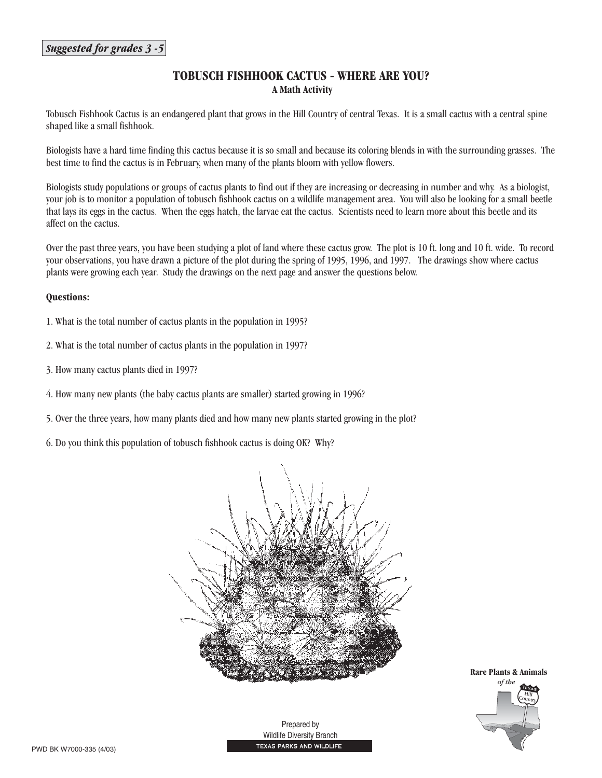### **TOBUSCH FISHHOOK CACTUS - WHERE ARE YOU? A Math Activity**

Tobusch Fishhook Cactus is an endangered plant that grows in the Hill Country of central Texas. It is a small cactus with a central spine shaped like a small fishhook.

Biologists have a hard time finding this cactus because it is so small and because its coloring blends in with the surrounding grasses. The best time to find the cactus is in February, when many of the plants bloom with yellow flowers.

Biologists study populations or groups of cactus plants to find out if they are increasing or decreasing in number and why. As a biologist, your job is to monitor a population of tobusch fishhook cactus on a wildlife management area. You will also be looking for a small beetle that lays its eggs in the cactus. When the eggs hatch, the larvae eat the cactus. Scientists need to learn more about this beetle and its affect on the cactus.

Over the past three years, you have been studying a plot of land where these cactus grow. The plot is 10 ft. long and 10 ft. wide. To record your observations, you have drawn a picture of the plot during the spring of 1995, 1996, and 1997. The drawings show where cactus plants were growing each year. Study the drawings on the next page and answer the questions below.

### **Questions:**

- 1. What is the total number of cactus plants in the population in 1995?
- 2. What is the total number of cactus plants in the population in 1997?
- 3. How many cactus plants died in 1997?
- 4. How many new plants (the baby cactus plants are smaller) started growing in 1996?
- 5. Over the three years, how many plants died and how many new plants started growing in the plot?
- 6. Do you think this population of tobusch fishhook cactus is doing OK? Why?



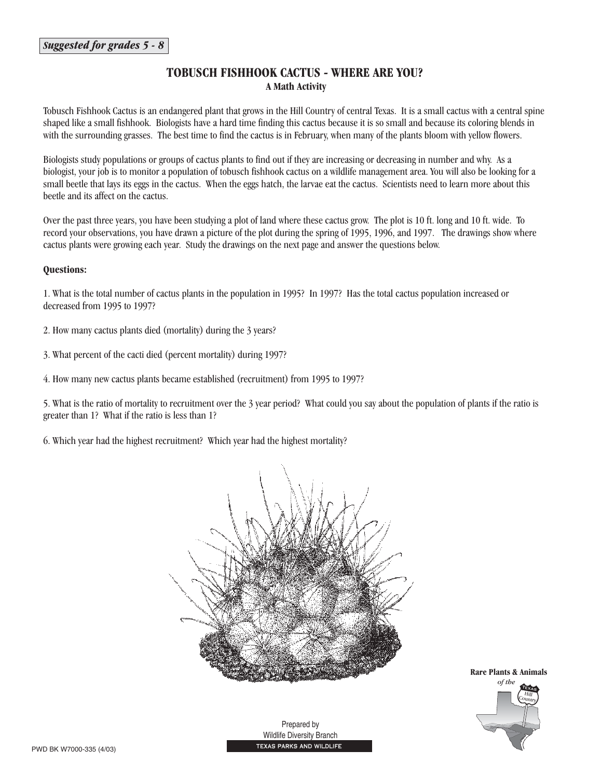### **TOBUSCH FISHHOOK CACTUS - WHERE ARE YOU? A Math Activity**

Tobusch Fishhook Cactus is an endangered plant that grows in the Hill Country of central Texas. It is a small cactus with a central spine shaped like a small fishhook. Biologists have a hard time finding this cactus because it is so small and because its coloring blends in with the surrounding grasses. The best time to find the cactus is in February, when many of the plants bloom with yellow flowers.

Biologists study populations or groups of cactus plants to find out if they are increasing or decreasing in number and why. As a biologist, your job is to monitor a population of tobusch fishhook cactus on a wildlife management area. You will also be looking for a small beetle that lays its eggs in the cactus. When the eggs hatch, the larvae eat the cactus. Scientists need to learn more about this beetle and its affect on the cactus.

Over the past three years, you have been studying a plot of land where these cactus grow. The plot is 10 ft. long and 10 ft. wide. To record your observations, you have drawn a picture of the plot during the spring of 1995, 1996, and 1997. The drawings show where cactus plants were growing each year. Study the drawings on the next page and answer the questions below.

#### **Questions:**

1. What is the total number of cactus plants in the population in 1995? In 1997? Has the total cactus population increased or decreased from 1995 to 1997?

- 2. How many cactus plants died (mortality) during the 3 years?
- 3. What percent of the cacti died (percent mortality) during 1997?
- 4. How many new cactus plants became established (recruitment) from 1995 to 1997?

5. What is the ratio of mortality to recruitment over the 3 year period? What could you say about the population of plants if the ratio is greater than 1? What if the ratio is less than 1?

6. Which year had the highest recruitment? Which year had the highest mortality?



**Rare Plants & Animals** *of the* Texas

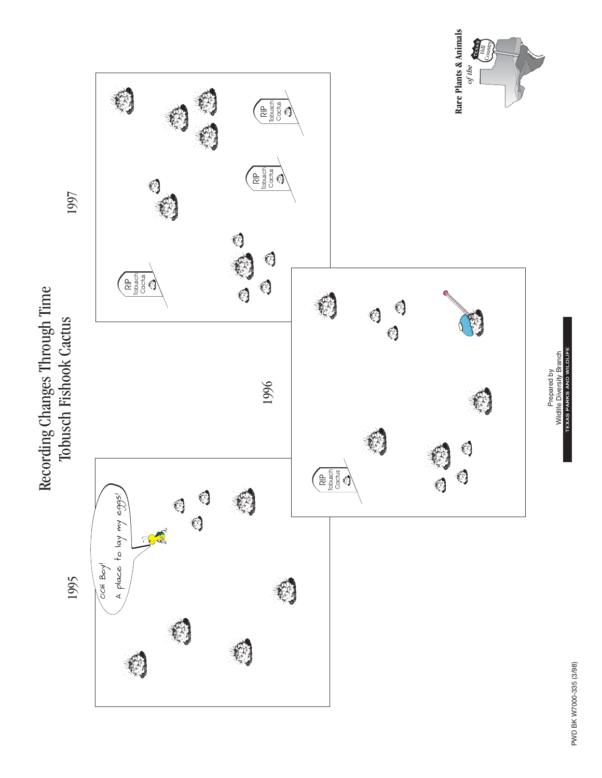

Recording Changes Through Time

Prepared by<br>Wildlife Diversity Branch<br>TEXAS PARKS AND WILDLIFE Wildlife Diversity Branch

> PWD BK W7000-335 (3/98) PWD BK W7000-335 (3/98)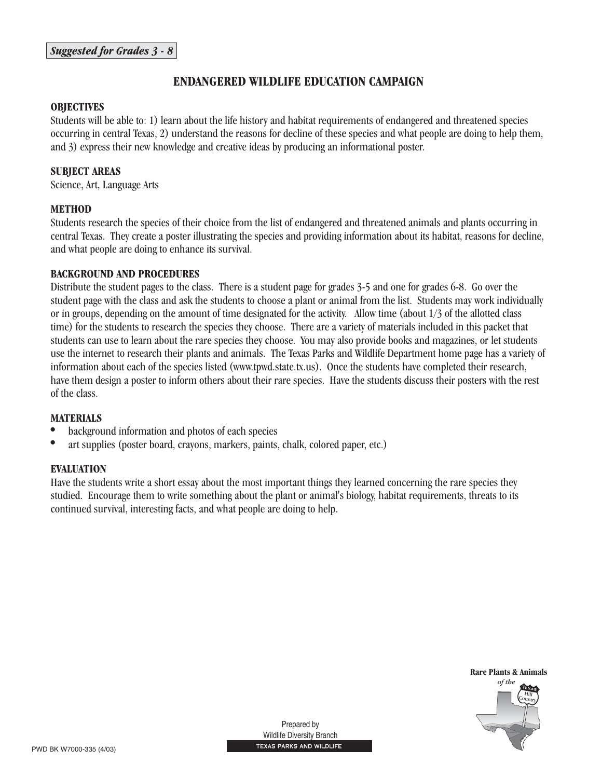### **ENDANGERED WILDLIFE EDUCATION CAMPAIGN**

#### **OBJECTIVES**

Students will be able to: 1) learn about the life history and habitat requirements of endangered and threatened species occurring in central Texas, 2) understand the reasons for decline of these species and what people are doing to help them, and 3) express their new knowledge and creative ideas by producing an informational poster.

### **SUBJECT AREAS**

Science, Art, Language Arts

#### **METHOD**

Students research the species of their choice from the list of endangered and threatened animals and plants occurring in central Texas. They create a poster illustrating the species and providing information about its habitat, reasons for decline, and what people are doing to enhance its survival.

#### **BACKGROUND AND PROCEDURES**

Distribute the student pages to the class. There is a student page for grades 3-5 and one for grades 6-8. Go over the student page with the class and ask the students to choose a plant or animal from the list. Students may work individually or in groups, depending on the amount of time designated for the activity. Allow time (about 1/3 of the allotted class time) for the students to research the species they choose. There are a variety of materials included in this packet that students can use to learn about the rare species they choose. You may also provide books and magazines, or let students use the internet to research their plants and animals. The Texas Parks and Wildlife Department home page has a variety of information about each of the species listed (www.tpwd.state.tx.us). Once the students have completed their research, have them design a poster to inform others about their rare species. Have the students discuss their posters with the rest of the class.

#### **MATERIALS**

- $\bullet$ background information and photos of each species
- art supplies (poster board, crayons, markers, paints, chalk, colored paper, etc.)

#### **EVALUATION**

Have the students write a short essay about the most important things they learned concerning the rare species they studied. Encourage them to write something about the plant or animal's biology, habitat requirements, threats to its continued survival, interesting facts, and what people are doing to help.

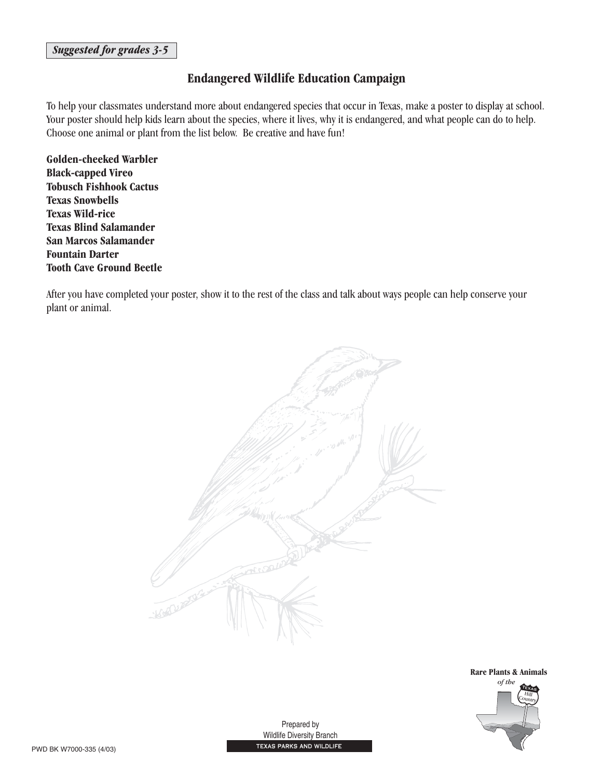### *Suggested for grades 3-5*

### **Endangered Wildlife Education Campaign**

To help your classmates understand more about endangered species that occur in Texas, make a poster to display at school. Your poster should help kids learn about the species, where it lives, why it is endangered, and what people can do to help. Choose one animal or plant from the list below. Be creative and have fun!

**Golden-cheeked Warbler Black-capped Vireo Tobusch Fishhook Cactus Texas Snowbells Texas Wild-rice Texas Blind Salamander San Marcos Salamander Fountain Darter Tooth Cave Ground Beetle**

After you have completed your poster, show it to the rest of the class and talk about ways people can help conserve your plant or animal.



**Rare Plants & Animals**

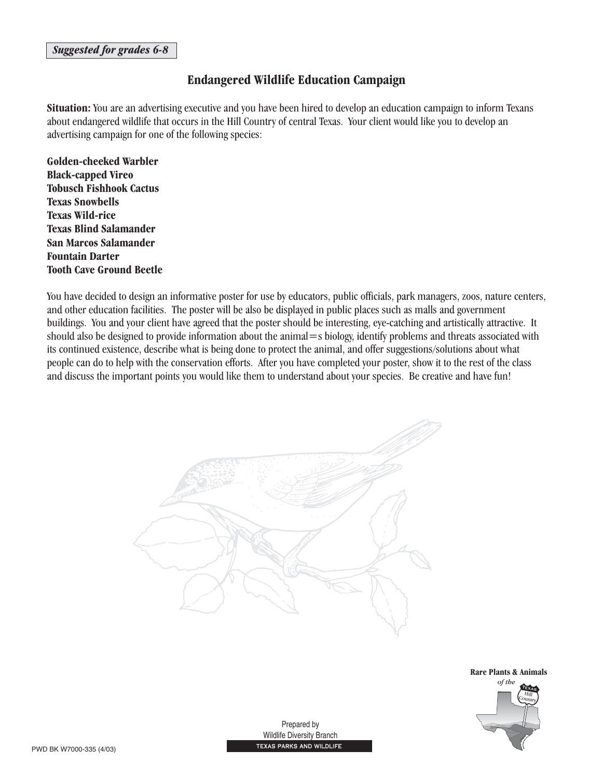### *Suggested for grades 6-8*

### **Endangered Wildlife Education Campaign**

**Situation:** You are an advertising executive and you have been hired to develop an education campaign to inform Texans about endangered wildlife that occurs in the Hill Country of central Texas. Your client would like you to develop an advertising campaign for one of the following species:

**Golden-cheeked Warbler Black-capped Vireo Tobusch Fishhook Cactus Texas Snowbells Texas Wild-rice Texas Blind Salamander San Marcos Salamander Fountain Darter Tooth Cave Ground Beetle**

You have decided to design an informative poster for use by educators, public officials, park managers, zoos, nature centers, and other education facilities. The poster will be also be displayed in public places such as malls and government buildings. You and your client have agreed that the poster should be interesting, eye-catching and artistically attractive. It should also be designed to provide information about the animal = s biology, identify problems and threats associated with its continued existence, describe what is being done to protect the animal, and offer suggestions/solutions about what people can do to help with the conservation efforts. After you have completed your poster, show it to the rest of the class and discuss the important points you would like them to understand about your species. Be creative and have fun!



**Rare Plants & Animals**



| Prepared by                      |
|----------------------------------|
| <b>Wildlife Diversity Branch</b> |
| <b>TEXAS PARKS AND WILDLIFE</b>  |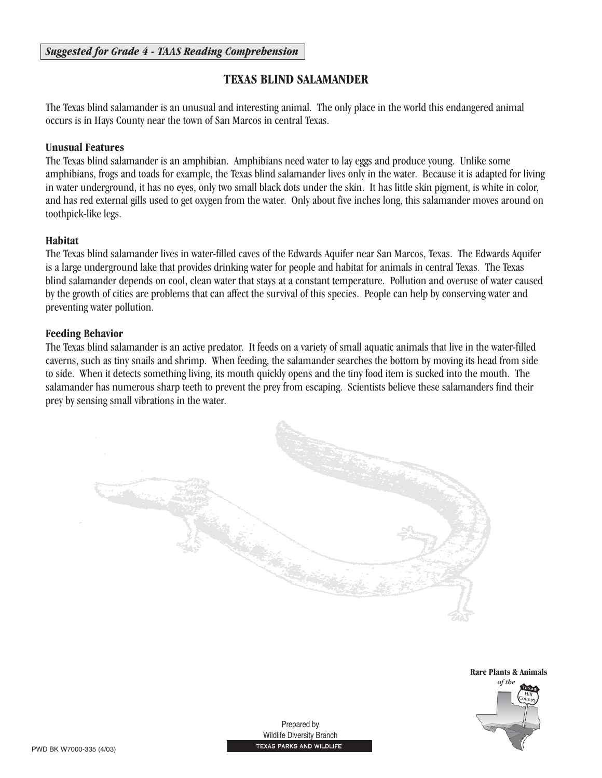### *Suggested for Grade 4 - TAAS Reading Comprehension*

### **TEXAS BLIND SALAMANDER**

The Texas blind salamander is an unusual and interesting animal. The only place in the world this endangered animal occurs is in Hays County near the town of San Marcos in central Texas.

### **Unusual Features**

The Texas blind salamander is an amphibian. Amphibians need water to lay eggs and produce young. Unlike some amphibians, frogs and toads for example, the Texas blind salamander lives only in the water. Because it is adapted for living in water underground, it has no eyes, only two small black dots under the skin. It has little skin pigment, is white in color, and has red external gills used to get oxygen from the water. Only about five inches long, this salamander moves around on toothpick-like legs.

### **Habitat**

The Texas blind salamander lives in water-filled caves of the Edwards Aquifer near San Marcos, Texas. The Edwards Aquifer is a large underground lake that provides drinking water for people and habitat for animals in central Texas. The Texas blind salamander depends on cool, clean water that stays at a constant temperature. Pollution and overuse of water caused by the growth of cities are problems that can affect the survival of this species. People can help by conserving water and preventing water pollution.

### **Feeding Behavior**

The Texas blind salamander is an active predator. It feeds on a variety of small aquatic animals that live in the water-filled caverns, such as tiny snails and shrimp. When feeding, the salamander searches the bottom by moving its head from side to side. When it detects something living, its mouth quickly opens and the tiny food item is sucked into the mouth. The salamander has numerous sharp teeth to prevent the prey from escaping. Scientists believe these salamanders find their prey by sensing small vibrations in the water.



**Rare Plants & Animals**



| Prepared by                      |
|----------------------------------|
| <b>Wildlife Diversity Branch</b> |
| <b>TEXAS PARKS AND WILDLIFE</b>  |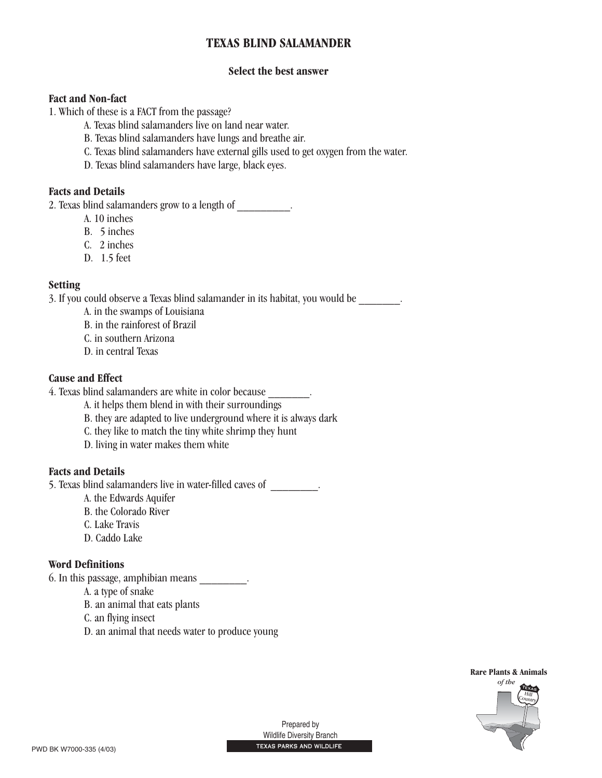### **TEXAS BLIND SALAMANDER**

### **Select the best answer**

### **Fact and Non-fact**

1. Which of these is a FACT from the passage?

- A. Texas blind salamanders live on land near water.
- B. Texas blind salamanders have lungs and breathe air.
- C. Texas blind salamanders have external gills used to get oxygen from the water.
- D. Texas blind salamanders have large, black eyes.

### **Facts and Details**

2. Texas blind salamanders grow to a length of  $\qquad \qquad$ .

- A. 10 inches
- B. 5 inches
- C. 2 inches
- D. 1.5 feet

### **Setting**

3. If you could observe a Texas blind salamander in its habitat, you would be \_\_\_\_\_\_\_.

- A. in the swamps of Louisiana
- B. in the rainforest of Brazil
- C. in southern Arizona
- D. in central Texas

### **Cause and Effect**

4. Texas blind salamanders are white in color because \_\_\_\_\_\_\_.

- A. it helps them blend in with their surroundings
- B. they are adapted to live underground where it is always dark
- C. they like to match the tiny white shrimp they hunt
- D. living in water makes them white

### **Facts and Details**

5. Texas blind salamanders live in water-filled caves of \_\_\_\_\_\_\_\_.

- A. the Edwards Aquifer
- B. the Colorado River
- C. Lake Travis
- D. Caddo Lake

### **Word Definitions**

6. In this passage, amphibian means \_\_\_\_\_\_\_\_.

A. a type of snake

- B. an animal that eats plants
- C. an flying insect
- D. an animal that needs water to produce young



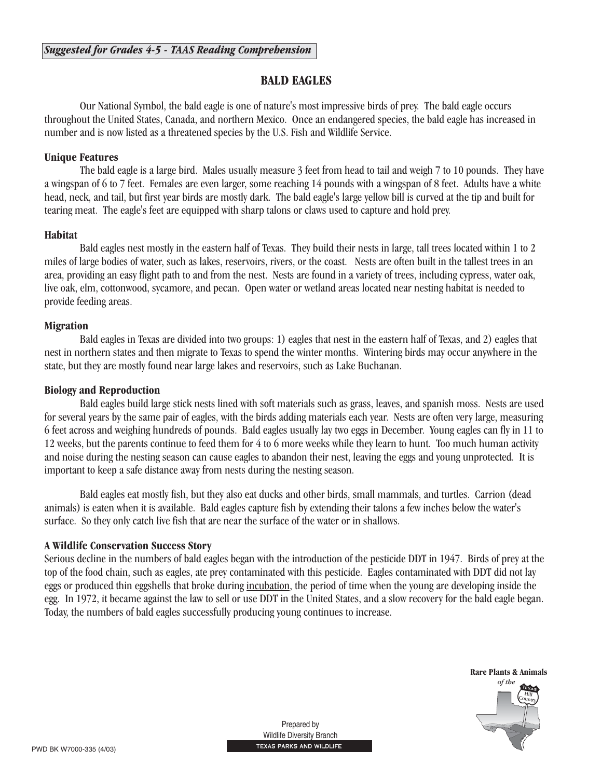### **BALD EAGLES**

Our National Symbol, the bald eagle is one of nature's most impressive birds of prey. The bald eagle occurs throughout the United States, Canada, and northern Mexico. Once an endangered species, the bald eagle has increased in number and is now listed as a threatened species by the U.S. Fish and Wildlife Service.

### **Unique Features**

The bald eagle is a large bird. Males usually measure 3 feet from head to tail and weigh 7 to 10 pounds. They have a wingspan of 6 to 7 feet. Females are even larger, some reaching 14 pounds with a wingspan of 8 feet. Adults have a white head, neck, and tail, but first year birds are mostly dark. The bald eagle's large yellow bill is curved at the tip and built for tearing meat. The eagle's feet are equipped with sharp talons or claws used to capture and hold prey.

### **Habitat**

Bald eagles nest mostly in the eastern half of Texas. They build their nests in large, tall trees located within 1 to 2 miles of large bodies of water, such as lakes, reservoirs, rivers, or the coast. Nests are often built in the tallest trees in an area, providing an easy flight path to and from the nest. Nests are found in a variety of trees, including cypress, water oak, live oak, elm, cottonwood, sycamore, and pecan. Open water or wetland areas located near nesting habitat is needed to provide feeding areas.

### **Migration**

Bald eagles in Texas are divided into two groups: 1) eagles that nest in the eastern half of Texas, and 2) eagles that nest in northern states and then migrate to Texas to spend the winter months. Wintering birds may occur anywhere in the state, but they are mostly found near large lakes and reservoirs, such as Lake Buchanan.

### **Biology and Reproduction**

Bald eagles build large stick nests lined with soft materials such as grass, leaves, and spanish moss. Nests are used for several years by the same pair of eagles, with the birds adding materials each year. Nests are often very large, measuring 6 feet across and weighing hundreds of pounds. Bald eagles usually lay two eggs in December. Young eagles can fly in 11 to 12 weeks, but the parents continue to feed them for 4 to 6 more weeks while they learn to hunt. Too much human activity and noise during the nesting season can cause eagles to abandon their nest, leaving the eggs and young unprotected. It is important to keep a safe distance away from nests during the nesting season.

Bald eagles eat mostly fish, but they also eat ducks and other birds, small mammals, and turtles. Carrion (dead animals) is eaten when it is available. Bald eagles capture fish by extending their talons a few inches below the water's surface. So they only catch live fish that are near the surface of the water or in shallows.

### **A Wildlife Conservation Success Story**

Serious decline in the numbers of bald eagles began with the introduction of the pesticide DDT in 1947. Birds of prey at the top of the food chain, such as eagles, ate prey contaminated with this pesticide. Eagles contaminated with DDT did not lay eggs or produced thin eggshells that broke during <u>incubation</u>, the period of time when the young are developing inside the egg. In 1972, it became against the law to sell or use DDT in the United States, and a slow recovery for the bald eagle began. Today, the numbers of bald eagles successfully producing young continues to increase.

**Rare Plants & Animals**

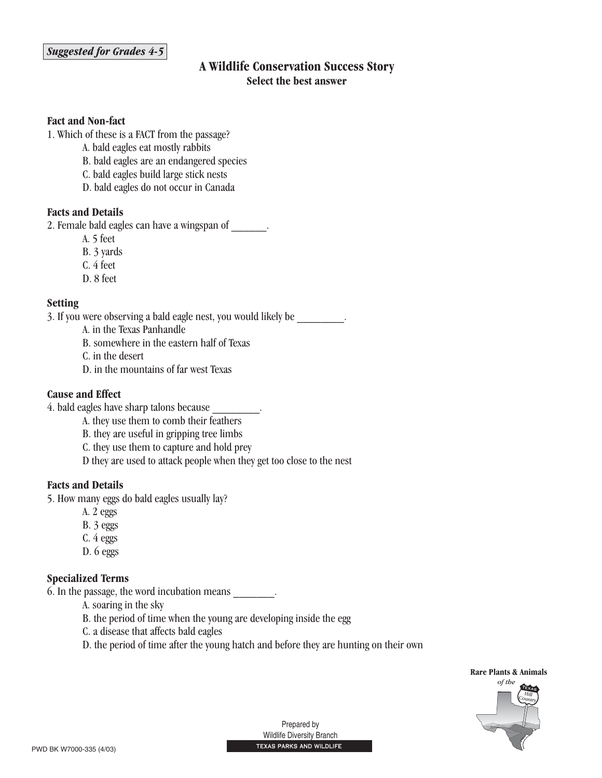### **A Wildlife Conservation Success Story Select the best answer**

### **Fact and Non-fact**

1. Which of these is a FACT from the passage?

- A. bald eagles eat mostly rabbits
- B. bald eagles are an endangered species
- C. bald eagles build large stick nests
- D. bald eagles do not occur in Canada

### **Facts and Details**

2. Female bald eagles can have a wingspan of  $\qquad \qquad$ .

- A. 5 feet
- B. 3 yards
- C. 4 feet
- D. 8 feet

### **Setting**

3. If you were observing a bald eagle nest, you would likely be

- A. in the Texas Panhandle
- B. somewhere in the eastern half of Texas
- C. in the desert
- D. in the mountains of far west Texas

### **Cause and Effect**

4. bald eagles have sharp talons because \_\_\_\_\_\_\_\_.

- A. they use them to comb their feathers
- B. they are useful in gripping tree limbs
- C. they use them to capture and hold prey
- D they are used to attack people when they get too close to the nest

### **Facts and Details**

- 5. How many eggs do bald eagles usually lay?
	- A. 2 eggs
	- B. 3 eggs
	- C. 4 eggs
	- D. 6 eggs

### **Specialized Terms**

6. In the passage, the word incubation means  $\blacksquare$ .

- A. soaring in the sky
- B. the period of time when the young are developing inside the egg
- C. a disease that affects bald eagles
- D. the period of time after the young hatch and before they are hunting on their own



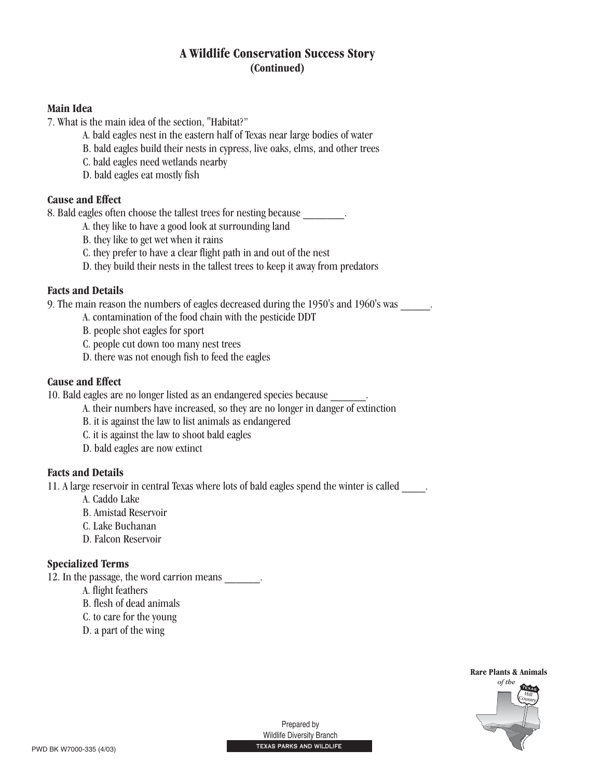### **A Wildlife Conservation Success Story (Continued)**

### **Main Idea**

7. What is the main idea of the section, "Habitat?"

- A. bald eagles nest in the eastern half of Texas near large bodies of water
- B. bald eagles build their nests in cypress, live oaks, elms, and other trees
- C. bald eagles need wetlands nearby
- D. bald eagles eat mostly fish

### **Cause and Effect**

8. Bald eagles often choose the tallest trees for nesting because \_\_\_\_\_\_\_\_\_.

- A. they like to have a good look at surrounding land
- B. they like to get wet when it rains
- C. they prefer to have a clear flight path in and out of the nest
- D. they build their nests in the tallest trees to keep it away from predators

### **Facts and Details**

9. The main reason the numbers of eagles decreased during the 1950's and 1960's was \_\_\_\_\_.

- A. contamination of the food chain with the pesticide DDT
- B. people shot eagles for sport
- C. people cut down too many nest trees
- D. there was not enough fish to feed the eagles

### **Cause and Effect**

10. Bald eagles are no longer listed as an endangered species because \_\_\_\_\_\_.

- A. their numbers have increased, so they are no longer in danger of extinction
- B. it is against the law to list animals as endangered
- C. it is against the law to shoot bald eagles
- D. bald eagles are now extinct

### **Facts and Details**

11. A large reservoir in central Texas where lots of bald eagles spend the winter is called \_\_\_\_.

- A. Caddo Lake
- B. Amistad Reservoir
- C. Lake Buchanan
- D. Falcon Reservoir

### **Specialized Terms**

12. In the passage, the word carrion means  $\qquad \qquad$ .

- A. flight feathers
- B. flesh of dead animals
- C. to care for the young
- D. a part of the wing

#### **Rare Plants & Animals**

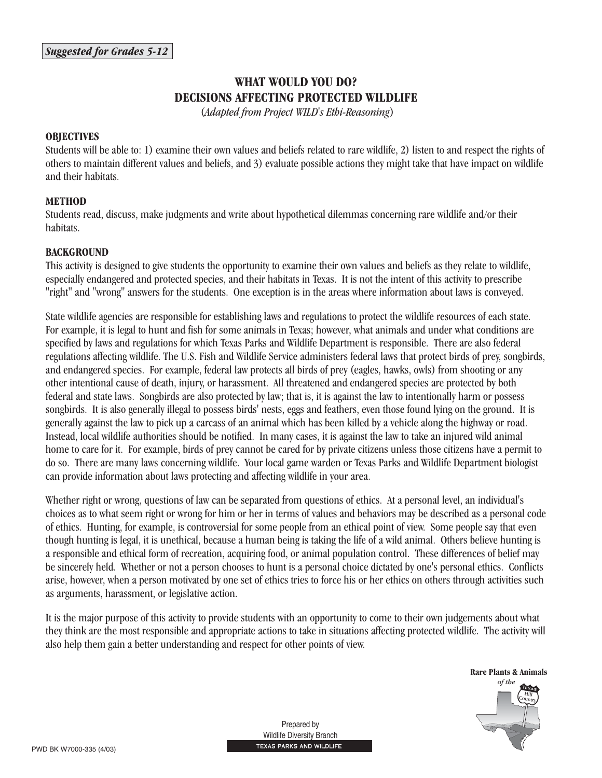# **WHAT WOULD YOU DO? DECISIONS AFFECTING PROTECTED WILDLIFE**

(Adapted from Project WILD's Ethi-Reasoning)

### **OBJECTIVES**

Students will be able to: 1) examine their own values and beliefs related to rare wildlife, 2) listen to and respect the rights of others to maintain different values and beliefs, and 3) evaluate possible actions they might take that have impact on wildlife and their habitats.

### **METHOD**

Students read, discuss, make judgments and write about hypothetical dilemmas concerning rare wildlife and/or their habitats.

### **BACKGROUND**

This activity is designed to give students the opportunity to examine their own values and beliefs as they relate to wildlife, especially endangered and protected species, and their habitats in Texas. It is not the intent of this activity to prescribe "right" and "wrong" answers for the students. One exception is in the areas where information about laws is conveyed.

State wildlife agencies are responsible for establishing laws and regulations to protect the wildlife resources of each state. For example, it is legal to hunt and fish for some animals in Texas; however, what animals and under what conditions are specified by laws and regulations for which Texas Parks and Wildlife Department is responsible. There are also federal regulations affecting wildlife. The U.S. Fish and Wildlife Service administers federal laws that protect birds of prey, songbirds, and endangered species. For example, federal law protects all birds of prey (eagles, hawks, owls) from shooting or any other intentional cause of death, injury, or harassment. All threatened and endangered species are protected by both federal and state laws. Songbirds are also protected by law; that is, it is against the law to intentionally harm or possess songbirds. It is also generally illegal to possess birds' nests, eggs and feathers, even those found lying on the ground. It is generally against the law to pick up a carcass of an animal which has been killed by a vehicle along the highway or road. Instead, local wildlife authorities should be notified. In many cases, it is against the law to take an injured wild animal home to care for it. For example, birds of prey cannot be cared for by private citizens unless those citizens have a permit to do so. There are many laws concerning wildlife. Your local game warden or Texas Parks and Wildlife Department biologist can provide information about laws protecting and affecting wildlife in your area.

Whether right or wrong, questions of law can be separated from questions of ethics. At a personal level, an individual's choices as to what seem right or wrong for him or her in terms of values and behaviors may be described as a personal code of ethics. Hunting, for example, is controversial for some people from an ethical point of view. Some people say that even though hunting is legal, it is unethical, because a human being is taking the life of a wild animal. Others believe hunting is a responsible and ethical form of recreation, acquiring food, or animal population control. These differences of belief may be sincerely held. Whether or not a person chooses to hunt is a personal choice dictated by one's personal ethics. Conflicts arise, however, when a person motivated by one set of ethics tries to force his or her ethics on others through activities such as arguments, harassment, or legislative action.

It is the major purpose of this activity to provide students with an opportunity to come to their own judgements about what they think are the most responsible and appropriate actions to take in situations affecting protected wildlife. The activity will also help them gain a better understanding and respect for other points of view.

**Rare Plants & Animals**

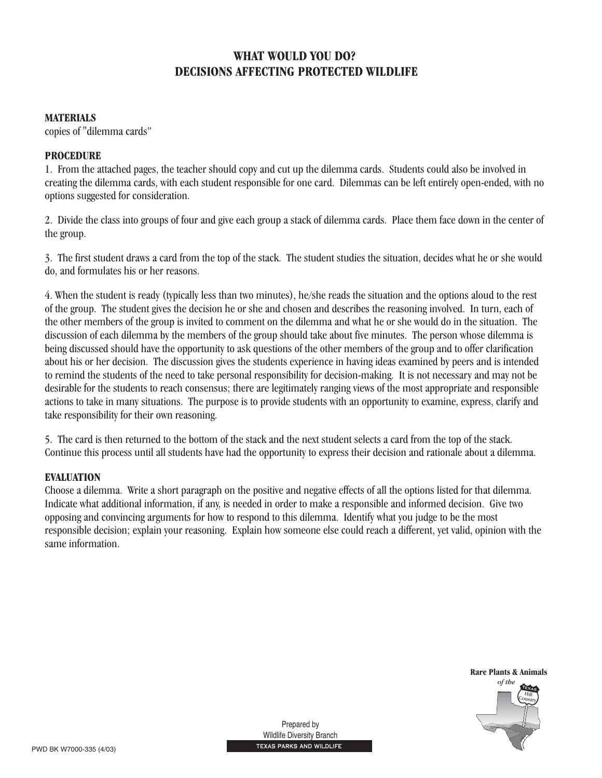### **WHAT WOULD YOU DO? DECISIONS AFFECTING PROTECTED WILDLIFE**

### **MATERIALS**

copies of "dilemma cards"

### **PROCEDURE**

1. From the attached pages, the teacher should copy and cut up the dilemma cards. Students could also be involved in creating the dilemma cards, with each student responsible for one card. Dilemmas can be left entirely open-ended, with no options suggested for consideration.

2. Divide the class into groups of four and give each group a stack of dilemma cards. Place them face down in the center of the group.

3. The first student draws a card from the top of the stack. The student studies the situation, decides what he or she would do, and formulates his or her reasons.

4. When the student is ready (typically less than two minutes), he/she reads the situation and the options aloud to the rest of the group. The student gives the decision he or she and chosen and describes the reasoning involved. In turn, each of the other members of the group is invited to comment on the dilemma and what he or she would do in the situation. The discussion of each dilemma by the members of the group should take about five minutes. The person whose dilemma is being discussed should have the opportunity to ask questions of the other members of the group and to offer clarification about his or her decision. The discussion gives the students experience in having ideas examined by peers and is intended to remind the students of the need to take personal responsibility for decision-making. It is not necessary and may not be desirable for the students to reach consensus; there are legitimately ranging views of the most appropriate and responsible actions to take in many situations. The purpose is to provide students with an opportunity to examine, express, clarify and take responsibility for their own reasoning.

5. The card is then returned to the bottom of the stack and the next student selects a card from the top of the stack. Continue this process until all students have had the opportunity to express their decision and rationale about a dilemma.

### **EVALUATION**

Choose a dilemma. Write a short paragraph on the positive and negative effects of all the options listed for that dilemma. Indicate what additional information, if any, is needed in order to make a responsible and informed decision. Give two opposing and convincing arguments for how to respond to this dilemma. Identify what you judge to be the most responsible decision; explain your reasoning. Explain how someone else could reach a different, yet valid, opinion with the same information.

**Rare Plants & Animals**

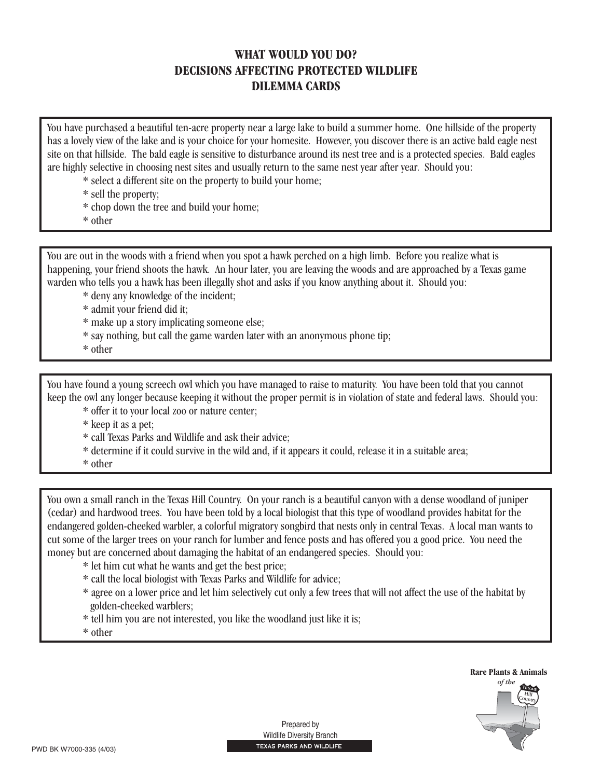You have purchased a beautiful ten-acre property near a large lake to build a summer home. One hillside of the property has a lovely view of the lake and is your choice for your homesite. However, you discover there is an active bald eagle nest site on that hillside. The bald eagle is sensitive to disturbance around its nest tree and is a protected species. Bald eagles are highly selective in choosing nest sites and usually return to the same nest year after year. Should you:

- \* select a different site on the property to build your home;
- \* sell the property;
- \* chop down the tree and build your home;

\* other

You are out in the woods with a friend when you spot a hawk perched on a high limb. Before you realize what is happening, your friend shoots the hawk. An hour later, you are leaving the woods and are approached by a Texas game warden who tells you a hawk has been illegally shot and asks if you know anything about it. Should you:

- \* deny any knowledge of the incident;
- \* admit your friend did it;
- \* make up a story implicating someone else;
- \* say nothing, but call the game warden later with an anonymous phone tip;
- \* other

You have found a young screech owl which you have managed to raise to maturity. You have been told that you cannot keep the owl any longer because keeping it without the proper permit is in violation of state and federal laws. Should you:

- \* offer it to your local zoo or nature center;
- \* keep it as a pet;
- \* call Texas Parks and Wildlife and ask their advice;
- \* determine if it could survive in the wild and, if it appears it could, release it in a suitable area;
- \* other

You own a small ranch in the Texas Hill Country. On your ranch is a beautiful canyon with a dense woodland of juniper (cedar) and hardwood trees. You have been told by a local biologist that this type of woodland provides habitat for the endangered golden-cheeked warbler, a colorful migratory songbird that nests only in central Texas. A local man wants to cut some of the larger trees on your ranch for lumber and fence posts and has offered you a good price. You need the money but are concerned about damaging the habitat of an endangered species. Should you:

- \* let him cut what he wants and get the best price;
- \* call the local biologist with Texas Parks and Wildlife for advice;
- \* agree on a lower price and let him selectively cut only a few trees that will not affect the use of the habitat by golden-cheeked warblers;
- \* tell him you are not interested, you like the woodland just like it is;
- \* other



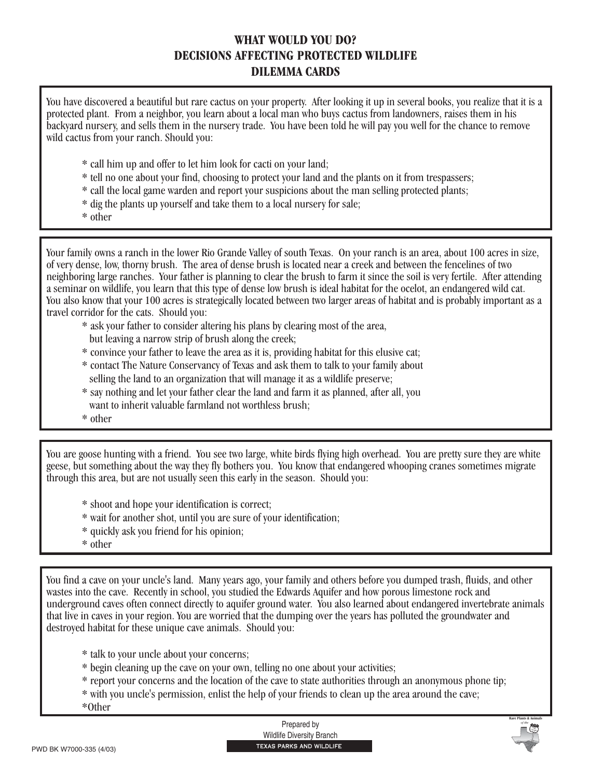You have discovered a beautiful but rare cactus on your property. After looking it up in several books, you realize that it is a protected plant. From a neighbor, you learn about a local man who buys cactus from landowners, raises them in his backyard nursery, and sells them in the nursery trade. You have been told he will pay you well for the chance to remove wild cactus from your ranch. Should you:

- \* call him up and offer to let him look for cacti on your land;
- \* tell no one about your find, choosing to protect your land and the plants on it from trespassers;
- \* call the local game warden and report your suspicions about the man selling protected plants;
- \* dig the plants up yourself and take them to a local nursery for sale;
- \* other

Your family owns a ranch in the lower Rio Grande Valley of south Texas. On your ranch is an area, about 100 acres in size, of very dense, low, thorny brush. The area of dense brush is located near a creek and between the fencelines of two neighboring large ranches. Your father is planning to clear the brush to farm it since the soil is very fertile. After attending a seminar on wildlife, you learn that this type of dense low brush is ideal habitat for the ocelot, an endangered wild cat. You also know that your 100 acres is strategically located between two larger areas of habitat and is probably important as a travel corridor for the cats. Should you:

- \* ask your father to consider altering his plans by clearing most of the area, but leaving a narrow strip of brush along the creek;
- \* convince your father to leave the area as it is, providing habitat for this elusive cat;
- \* contact The Nature Conservancy of Texas and ask them to talk to your family about selling the land to an organization that will manage it as a wildlife preserve;
- \* say nothing and let your father clear the land and farm it as planned, after all, you want to inherit valuable farmland not worthless brush;
- \* other

You are goose hunting with a friend. You see two large, white birds flying high overhead. You are pretty sure they are white geese, but something about the way they fly bothers you. You know that endangered whooping cranes sometimes migrate through this area, but are not usually seen this early in the season. Should you:

- \* shoot and hope your identification is correct;
- \* wait for another shot, until you are sure of your identification;
- \* quickly ask you friend for his opinion;
- \* other

You find a cave on your uncle's land. Many years ago, your family and others before you dumped trash, fluids, and other wastes into the cave. Recently in school, you studied the Edwards Aquifer and how porous limestone rock and underground caves often connect directly to aquifer ground water. You also learned about endangered invertebrate animals that live in caves in your region. You are worried that the dumping over the years has polluted the groundwater and destroyed habitat for these unique cave animals. Should you:

- \* talk to your uncle about your concerns;
- \* begin cleaning up the cave on your own, telling no one about your activities;
- \* report your concerns and the location of the cave to state authorities through an anonymous phone tip;
- \* with you uncle's permission, enlist the help of your friends to clean up the area around the cave;

\*Other

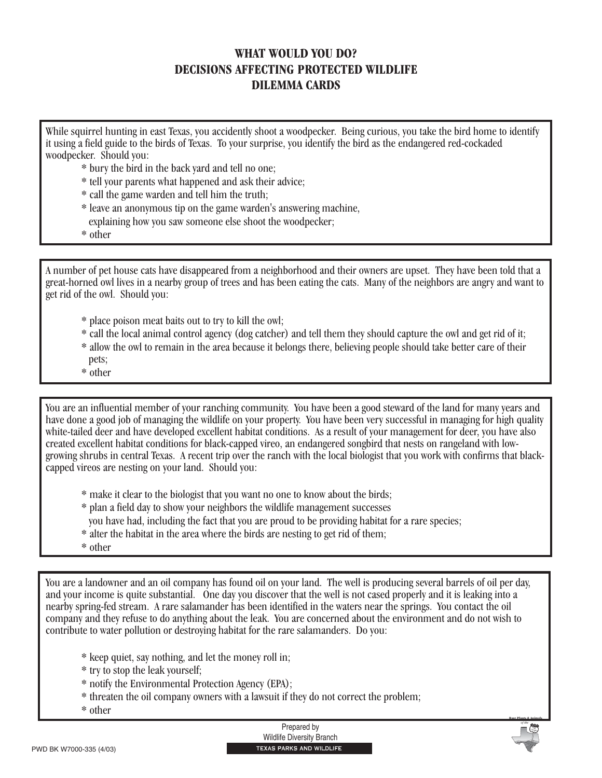While squirrel hunting in east Texas, you accidently shoot a woodpecker. Being curious, you take the bird home to identify it using a field guide to the birds of Texas. To your surprise, you identify the bird as the endangered red-cockaded woodpecker. Should you:

- \* bury the bird in the back yard and tell no one;
- \* tell your parents what happened and ask their advice;
- \* call the game warden and tell him the truth;
- \* leave an anonymous tip on the game warden's answering machine, explaining how you saw someone else shoot the woodpecker;
- \* other

A number of pet house cats have disappeared from a neighborhood and their owners are upset. They have been told that a great-horned owl lives in a nearby group of trees and has been eating the cats. Many of the neighbors are angry and want to get rid of the owl. Should you:

- \* place poison meat baits out to try to kill the owl;
- \* call the local animal control agency (dog catcher) and tell them they should capture the owl and get rid of it;
- \* allow the owl to remain in the area because it belongs there, believing people should take better care of their pets;
- \* other

You are an influential member of your ranching community. You have been a good steward of the land for many years and have done a good job of managing the wildlife on your property. You have been very successful in managing for high quality white-tailed deer and have developed excellent habitat conditions. As a result of your management for deer, you have also created excellent habitat conditions for black-capped vireo, an endangered songbird that nests on rangeland with lowgrowing shrubs in central Texas. A recent trip over the ranch with the local biologist that you work with confirms that blackcapped vireos are nesting on your land. Should you:

- \* make it clear to the biologist that you want no one to know about the birds;
- \* plan a field day to show your neighbors the wildlife management successes
	- you have had, including the fact that you are proud to be providing habitat for a rare species;
- \* alter the habitat in the area where the birds are nesting to get rid of them;
- \* other

You are a landowner and an oil company has found oil on your land. The well is producing several barrels of oil per day, and your income is quite substantial. One day you discover that the well is not cased properly and it is leaking into a nearby spring-fed stream. A rare salamander has been identified in the waters near the springs. You contact the oil company and they refuse to do anything about the leak. You are concerned about the environment and do not wish to contribute to water pollution or destroying habitat for the rare salamanders. Do you:

- \* keep quiet, say nothing, and let the money roll in;
- \* try to stop the leak yourself;
- \* notify the Environmental Protection Agency (EPA);
- \* threaten the oil company owners with a lawsuit if they do not correct the problem;
- \* other

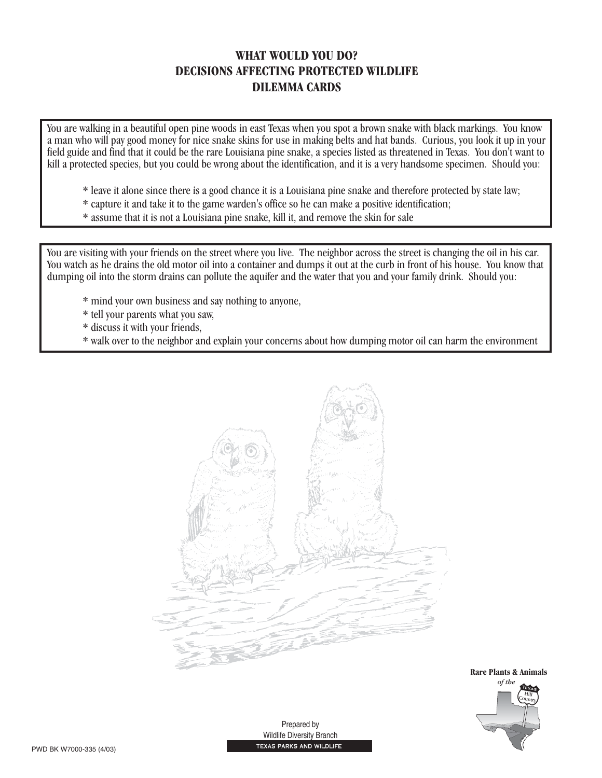You are walking in a beautiful open pine woods in east Texas when you spot a brown snake with black markings. You know a man who will pay good money for nice snake skins for use in making belts and hat bands. Curious, you look it up in your field guide and find that it could be the rare Louisiana pine snake, a species listed as threatened in Texas. You don't want to kill a protected species, but you could be wrong about the identification, and it is a very handsome specimen. Should you:

- \* leave it alone since there is a good chance it is a Louisiana pine snake and therefore protected by state law;
- \* capture it and take it to the game warden's office so he can make a positive identification;
- \* assume that it is not a Louisiana pine snake, kill it, and remove the skin for sale

You are visiting with your friends on the street where you live. The neighbor across the street is changing the oil in his car. You watch as he drains the old motor oil into a container and dumps it out at the curb in front of his house. You know that dumping oil into the storm drains can pollute the aquifer and the water that you and your family drink. Should you:

- \* mind your own business and say nothing to anyone,
- \* tell your parents what you saw,
- \* discuss it with your friends,
- \* walk over to the neighbor and explain your concerns about how dumping motor oil can harm the environment



**Rare Plants & Animals**

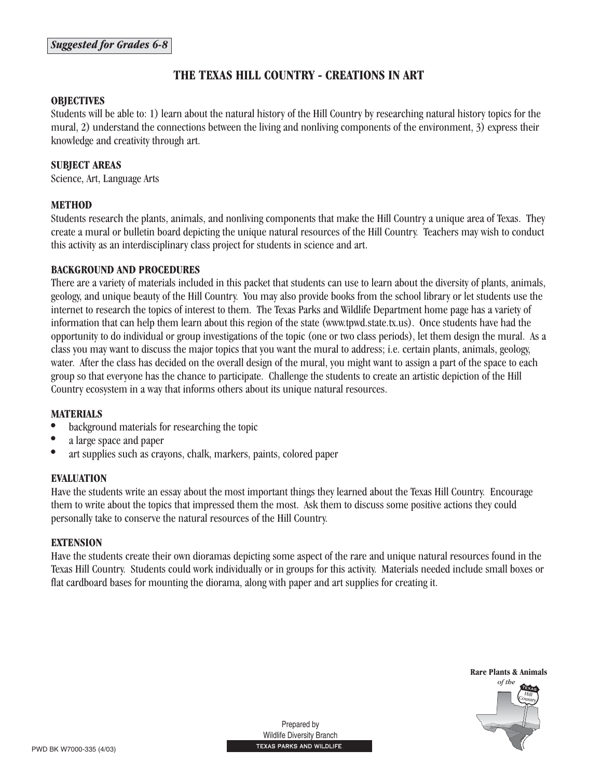### **THE TEXAS HILL COUNTRY - CREATIONS IN ART**

### **OBJECTIVES**

Students will be able to: 1) learn about the natural history of the Hill Country by researching natural history topics for the mural, 2) understand the connections between the living and nonliving components of the environment, 3) express their knowledge and creativity through art.

### **SUBJECT AREAS**

Science, Art, Language Arts

### **METHOD**

Students research the plants, animals, and nonliving components that make the Hill Country a unique area of Texas. They create a mural or bulletin board depicting the unique natural resources of the Hill Country. Teachers may wish to conduct this activity as an interdisciplinary class project for students in science and art.

### **BACKGROUND AND PROCEDURES**

There are a variety of materials included in this packet that students can use to learn about the diversity of plants, animals, geology, and unique beauty of the Hill Country. You may also provide books from the school library or let students use the internet to research the topics of interest to them. The Texas Parks and Wildlife Department home page has a variety of information that can help them learn about this region of the state (www.tpwd.state.tx.us). Once students have had the opportunity to do individual or group investigations of the topic (one or two class periods), let them design the mural. As a class you may want to discuss the major topics that you want the mural to address; i.e. certain plants, animals, geology, water. After the class has decided on the overall design of the mural, you might want to assign a part of the space to each group so that everyone has the chance to participate. Challenge the students to create an artistic depiction of the Hill Country ecosystem in a way that informs others about its unique natural resources.

# **MATERIALS**

- background materials for researching the topic
- $\bullet$ a large space and paper
- $\bullet$ art supplies such as crayons, chalk, markers, paints, colored paper

### **EVALUATION**

Have the students write an essay about the most important things they learned about the Texas Hill Country. Encourage them to write about the topics that impressed them the most. Ask them to discuss some positive actions they could personally take to conserve the natural resources of the Hill Country.

### **EXTENSION**

Have the students create their own dioramas depicting some aspect of the rare and unique natural resources found in the Texas Hill Country. Students could work individually or in groups for this activity. Materials needed include small boxes or flat cardboard bases for mounting the diorama, along with paper and art supplies for creating it.

**Rare Plants & Animals**

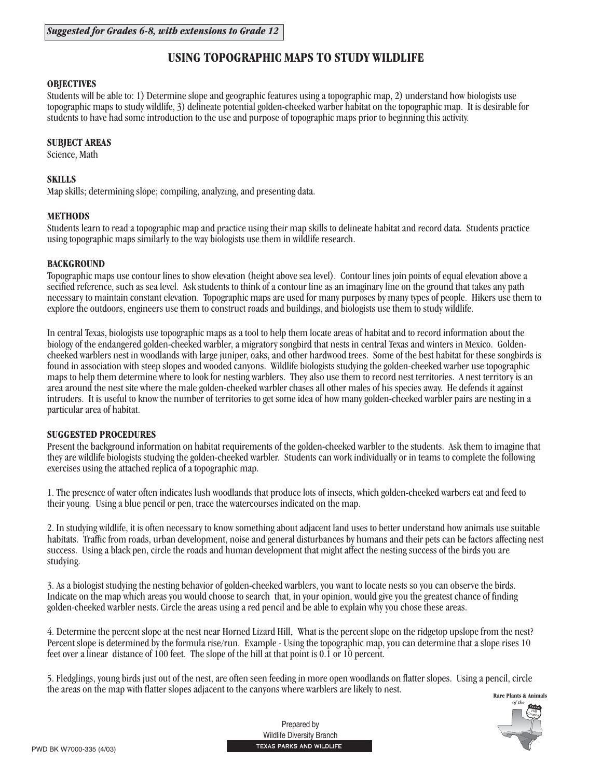## **USING TOPOGRAPHIC MAPS TO STUDY WILDLIFE**

#### **OBJECTIVES**

Students will be able to: 1) Determine slope and geographic features using a topographic map, 2) understand how biologists use topographic maps to study wildlife, 3) delineate potential golden-cheeked warber habitat on the topographic map. It is desirable for students to have had some introduction to the use and purpose of topographic maps prior to beginning this activity.

#### **SUBJECT AREAS**

Science, Math

#### **SKILLS**

Map skills; determining slope; compiling, analyzing, and presenting data.

#### **METHODS**

Students learn to read a topographic map and practice using their map skills to delineate habitat and record data. Students practice using topographic maps similarly to the way biologists use them in wildlife research.

#### **BACKGROUND**

Topographic maps use contour lines to show elevation (height above sea level). Contour lines join points of equal elevation above a secified reference, such as sea level. Ask students to think of a contour line as an imaginary line on the ground that takes any path necessary to maintain constant elevation. Topographic maps are used for many purposes by many types of people. Hikers use them to explore the outdoors, engineers use them to construct roads and buildings, and biologists use them to study wildlife.

In central Texas, biologists use topographic maps as a tool to help them locate areas of habitat and to record information about the biology of the endangered golden-cheeked warbler, a migratory songbird that nests in central Texas and winters in Mexico. Goldencheeked warblers nest in woodlands with large juniper, oaks, and other hardwood trees. Some of the best habitat for these songbirds is found in association with steep slopes and wooded canyons. Wildlife biologists studying the golden-cheeked warber use topographic maps to help them determine where to look for nesting warblers. They also use them to record nest territories. A nest territory is an area around the nest site where the male golden-cheeked warbler chases all other males of his species away. He defends it against intruders. It is useful to know the number of territories to get some idea of how many golden-cheeked warbler pairs are nesting in a particular area of habitat.

#### **SUGGESTED PROCEDURES**

Present the background information on habitat requirements of the golden-cheeked warbler to the students. Ask them to imagine that they are wildlife biologists studying the golden-cheeked warbler. Students can work individually or in teams to complete the following exercises using the attached replica of a topographic map.

1. The presence of water often indicates lush woodlands that produce lots of insects, which golden-cheeked warbers eat and feed to their young. Using a blue pencil or pen, trace the watercourses indicated on the map.

2. In studying wildlife, it is often necessary to know something about adjacent land uses to better understand how animals use suitable habitats. Traffic from roads, urban development, noise and general disturbances by humans and their pets can be factors affecting nest success. Using a black pen, circle the roads and human development that might affect the nesting success of the birds you are studying.

3. As a biologist studying the nesting behavior of golden-cheeked warblers, you want to locate nests so you can observe the birds. Indicate on the map which areas you would choose to search that, in your opinion, would give you the greatest chance of finding golden-cheeked warbler nests. Circle the areas using a red pencil and be able to explain why you chose these areas.

4. Determine the percent slope at the nest near Horned Lizard Hill. What is the percent slope on the ridgetop upslope from the nest? Percent slope is determined by the formula rise/run. Example - Using the topographic map, you can determine that a slope rises 10 feet over a linear distance of 100 feet. The slope of the hill at that point is 0.1 or 10 percent.

5. Fledglings, young birds just out of the nest, are often seen feeding in more open woodlands on flatter slopes. Using a pencil, circle the areas on the map with flatter slopes adjacent to the canyons where warblers are likely to nest.

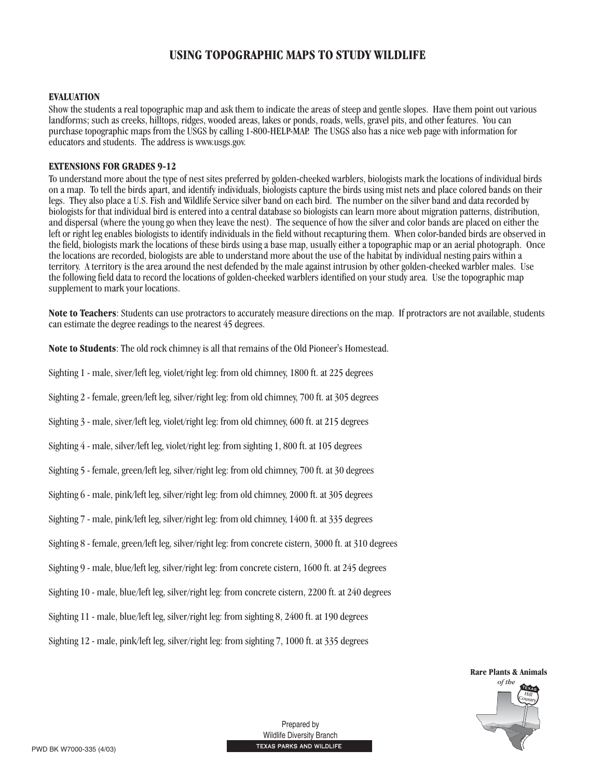### **USING TOPOGRAPHIC MAPS TO STUDY WILDLIFE**

#### **EVALUATION**

Show the students a real topographic map and ask them to indicate the areas of steep and gentle slopes. Have them point out various landforms; such as creeks, hilltops, ridges, wooded areas, lakes or ponds, roads, wells, gravel pits, and other features. You can purchase topographic maps from the USGS by calling 1-800-HELP-MAP. The USGS also has a nice web page with information for educators and students. The address is www.usgs.gov.

#### **EXTENSIONS FOR GRADES 9-12**

To understand more about the type of nest sites preferred by golden-cheeked warblers, biologists mark the locations of individual birds on a map. To tell the birds apart, and identify individuals, biologists capture the birds using mist nets and place colored bands on their legs. They also place a U.S. Fish and Wildlife Service silver band on each bird. The number on the silver band and data recorded by biologists for that individual bird is entered into a central database so biologists can learn more about migration patterns, distribution, and dispersal (where the young go when they leave the nest). The sequence of how the silver and color bands are placed on either the left or right leg enables biologists to identify individuals in the field without recapturing them. When color-banded birds are observed in the field, biologists mark the locations of these birds using a base map, usually either a topographic map or an aerial photograph. Once the locations are recorded, biologists are able to understand more about the use of the habitat by individual nesting pairs within a territory. A territory is the area around the nest defended by the male against intrusion by other golden-cheeked warbler males. Use the following field data to record the locations of golden-cheeked warblers identified on your study area. Use the topographic map supplement to mark your locations.

**Note to Teachers** : Students can use protractors to accurately measure directions on the map. If protractors are not available, students can estimate the degree readings to the nearest 45 degrees.

**Note to Students** : The old rock chimney is all that remains of the Old Pioneer's Homestead.

- Sighting 1 male, siver/left leg, violet/right leg: from old chimney, 1800 ft. at 225 degrees
- Sighting 2 female, green/left leg, silver/right leg: from old chimney, 700 ft. at 305 degrees
- Sighting 3 male, siver/left leg, violet/right leg: from old chimney, 600 ft. at 215 degrees
- Sighting 4 male, silver/left leg, violet/right leg: from sighting 1, 800 ft. at 105 degrees
- Sighting 5 female, green/left leg, silver/right leg: from old chimney, 700 ft. at 30 degrees
- Sighting 6 male, pink/left leg, silver/right leg: from old chimney, 2000 ft. at 305 degrees
- Sighting 7 male, pink/left leg, silver/right leg: from old chimney, 1400 ft. at 335 degrees
- Sighting 8 female, green/left leg, silver/right leg: from concrete cistern, 3000 ft. at 310 degrees
- Sighting 9 male, blue/left leg, silver/right leg: from concrete cistern, 1600 ft. at 245 degrees
- Sighting 10 male, blue/left leg, silver/right leg: from concrete cistern, 2200 ft. at 240 degrees
- Sighting 11 male, blue/left leg, silver/right leg: from sighting 8, 2400 ft. at 190 degrees
- Sighting 12 male, pink/left leg, silver/right leg: from sighting 7, 1000 ft. at 335 degrees

#### **Rare Plants & Animals**

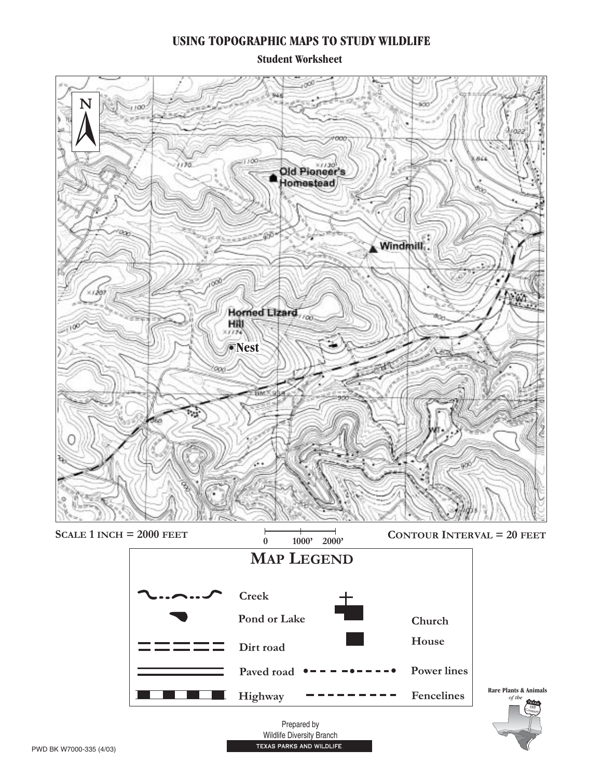### **USING TOPOGRAPHIC MAPS TO STUDY WILDLIFE**

**Student Worksheet**



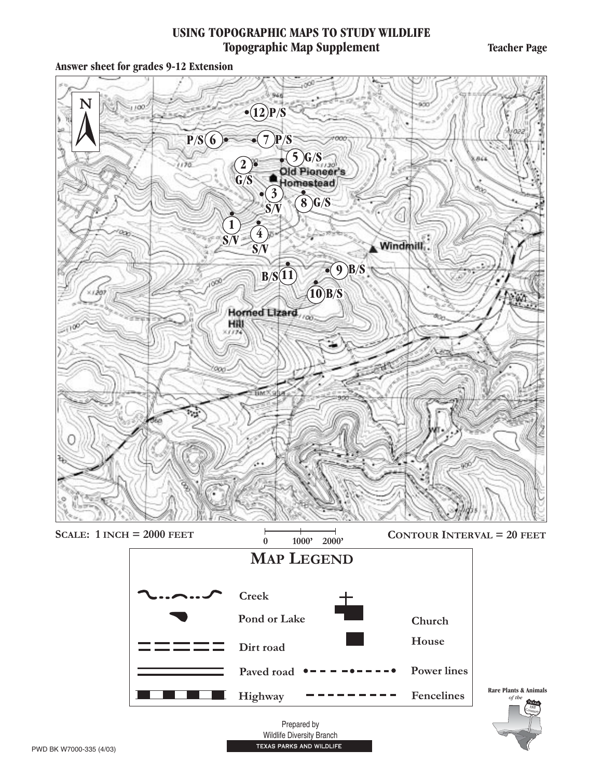### **USING TOPOGRAPHIC MAPS TO STUDY WILDLIFE Topographic Map Supplement**

**Teacher Page**

### **Answer sheet for grades 9-12 Extension**